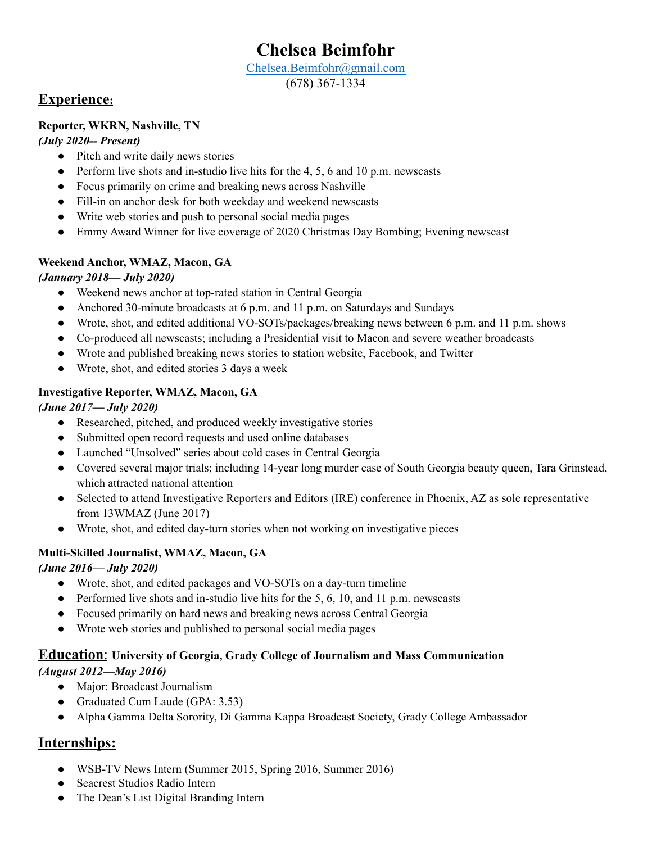# **Chelsea Beimfohr**

#### [Chelsea.Beimfohr@gmail.com](mailto:Chelsea.Beimfohr@gmail.com)

(678) 367-1334

## **Experience:**

#### **Reporter, WKRN, Nashville, TN**

#### *(July 2020-- Present)*

- Pitch and write daily news stories
- Perform live shots and in-studio live hits for the 4, 5, 6 and 10 p.m. newscasts
- Focus primarily on crime and breaking news across Nashville
- Fill-in on anchor desk for both weekday and weekend newscasts
- Write web stories and push to personal social media pages
- Emmy Award Winner for live coverage of 2020 Christmas Day Bombing; Evening newscast

#### **Weekend Anchor, WMAZ, Macon, GA**

#### *(January 2018— July 2020)*

- Weekend news anchor at top-rated station in Central Georgia
- Anchored 30-minute broadcasts at 6 p.m. and 11 p.m. on Saturdays and Sundays
- Wrote, shot, and edited additional VO-SOTs/packages/breaking news between 6 p.m. and 11 p.m. shows
- Co-produced all newscasts; including a Presidential visit to Macon and severe weather broadcasts
- Wrote and published breaking news stories to station website, Facebook, and Twitter
- Wrote, shot, and edited stories 3 days a week

#### **Investigative Reporter, WMAZ, Macon, GA**

#### *(June 2017— July 2020)*

- Researched, pitched, and produced weekly investigative stories
- Submitted open record requests and used online databases
- Launched "Unsolved" series about cold cases in Central Georgia
- Covered several major trials; including 14-year long murder case of South Georgia beauty queen, Tara Grinstead, which attracted national attention
- Selected to attend Investigative Reporters and Editors (IRE) conference in Phoenix, AZ as sole representative from 13WMAZ (June 2017)
- Wrote, shot, and edited day-turn stories when not working on investigative pieces

#### **Multi-Skilled Journalist, WMAZ, Macon, GA**

#### *(June 2016— July 2020)*

- Wrote, shot, and edited packages and VO-SOTs on a day-turn timeline
- Performed live shots and in-studio live hits for the  $5, 6, 10$ , and 11 p.m. newscasts
- Focused primarily on hard news and breaking news across Central Georgia
- Wrote web stories and published to personal social media pages

### **Education**: **University of Georgia, Grady College of Journalism and Mass Communication**

#### *(August 2012—May 2016)*

- Major: Broadcast Journalism
- Graduated Cum Laude (GPA: 3.53)
- Alpha Gamma Delta Sorority, Di Gamma Kappa Broadcast Society, Grady College Ambassador

## **Internships:**

- WSB-TV News Intern (Summer 2015, Spring 2016, Summer 2016)
- Seacrest Studios Radio Intern
- The Dean's List Digital Branding Intern